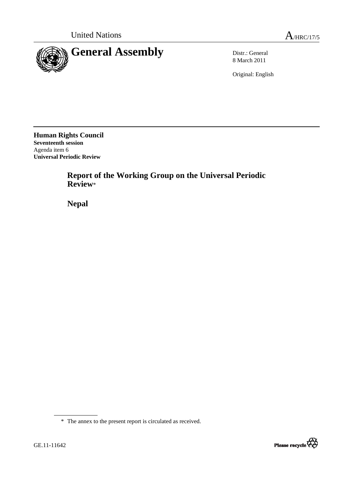

8 March 2011

Original: English

**Human Rights Council Seventeenth session**  Agenda item 6 **Universal Periodic Review**

> **Report of the Working Group on the Universal Periodic Review**\*

 **Nepal**



<sup>\*</sup> The annex to the present report is circulated as received.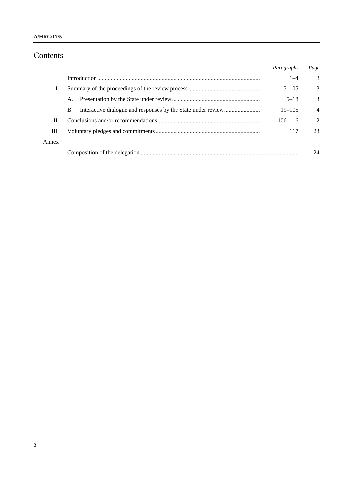# Contents

|       |    | Paragraphs  | Page           |
|-------|----|-------------|----------------|
|       |    | $1 - 4$     | 3              |
|       |    | $5 - 105$   | 3              |
|       | A. | $5 - 18$    | 3              |
|       | В. | $19 - 105$  | $\overline{4}$ |
| H.    |    | $106 - 116$ | 12             |
| Ш.    |    | 117         | 23             |
| Annex |    |             |                |
|       |    |             |                |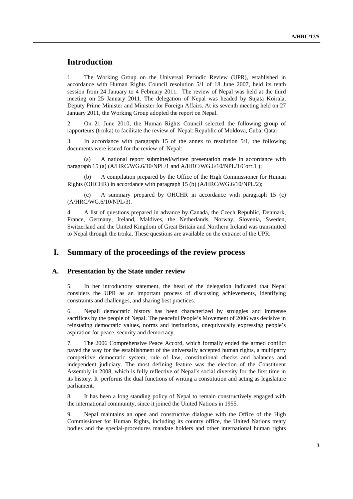## **Introduction**

1. The Working Group on the Universal Periodic Review (UPR), established in accordance with Human Rights Council resolution 5/1 of 18 June 2007, held its tenth session from 24 January to 4 February 2011. The review of Nepal was held at the third meeting on 25 January 2011. The delegation of Nepal was headed by Sujata Koirala, Deputy Prime Minister and Minister for Foreign Affairs. At its seventh meeting held on 27 January 2011, the Working Group adopted the report on Nepal.

2. On 21 June 2010, the Human Rights Council selected the following group of rapporteurs (troika) to facilitate the review of Nepal: Republic of Moldova, Cuba, Qatar.

3. In accordance with paragraph 15 of the annex to resolution 5/1, the following documents were issued for the review of Nepal:

A national report submitted/written presentation made in accordance with paragraph 15 (a) (A/HRC/WG.6/10/NPL/1 and A/HRC/WG.6/10/NPL/1/Corr.1);

 (b) A compilation prepared by the Office of the High Commissioner for Human Rights (OHCHR) in accordance with paragraph 15 (b) (A/HRC/WG.6/10/NPL/2);

 (c) A summary prepared by OHCHR in accordance with paragraph 15 (c) (A/HRC/WG.6/10/NPL/3).

4. A list of questions prepared in advance by Canada, the Czech Republic, Denmark, France, Germany, Ireland, Maldives, the Netherlands, Norway, Slovenia, Sweden, Switzerland and the United Kingdom of Great Britain and Northern Ireland was transmitted to Nepal through the troika. These questions are available on the extranet of the UPR.

### **I. Summary of the proceedings of the review process**

#### **A. Presentation by the State under review**

5. In her introductory statement, the head of the delegation indicated that Nepal considers the UPR as an important process of discussing achievements, identifying constraints and challenges, and sharing best practices.

6. Nepali democratic history has been characterized by struggles and immense sacrifices by the people of Nepal. The peaceful People's Movement of 2006 was decisive in reinstating democratic values, norms and institutions, unequivocally expressing people's aspiration for peace, security and democracy.

7. The 2006 Comprehensive Peace Accord, which formally ended the armed conflict paved the way for the establishment of the universally accepted human rights, a multiparty competitive democratic system, rule of law, constitutional checks and balances and independent judiciary. The most defining feature was the election of the Constituent Assembly in 2008, which is fully reflective of Nepal's social diversity for the first time in its history. It performs the dual functions of writing a constitution and acting as legislature parliament.

8. It has been a long standing policy of Nepal to remain constructively engaged with the international community, since it joined the United Nations in 1955.

9. Nepal maintains an open and constructive dialogue with the Office of the High Commissioner for Human Rights, including its country office, the United Nations treaty bodies and the special-procedures mandate holders and other international human rights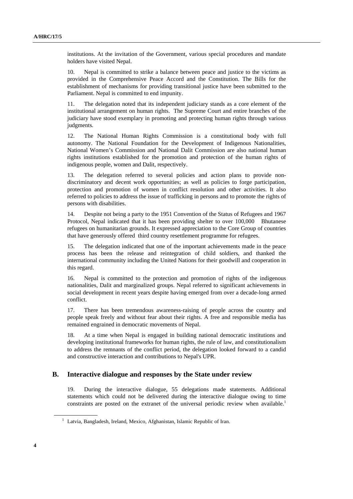institutions. At the invitation of the Government, various special procedures and mandate holders have visited Nepal.

10. Nepal is committed to strike a balance between peace and justice to the victims as provided in the Comprehensive Peace Accord and the Constitution. The Bills for the establishment of mechanisms for providing transitional justice have been submitted to the Parliament. Nepal is committed to end impunity.

11. The delegation noted that its independent judiciary stands as a core element of the institutional arrangement on human rights. The Supreme Court and entire branches of the judiciary have stood exemplary in promoting and protecting human rights through various judgments.

12. The National Human Rights Commission is a constitutional body with full autonomy. The National Foundation for the Development of Indigenous Nationalities, National Women's Commission and National Dalit Commission are also national human rights institutions established for the promotion and protection of the human rights of indigenous people, women and Dalit, respectively.

13. The delegation referred to several policies and action plans to provide nondiscriminatory and decent work opportunities; as well as policies to forge participation, protection and promotion of women in conflict resolution and other activities. It also referred to policies to address the issue of trafficking in persons and to promote the rights of persons with disabilities.

14. Despite not being a party to the 1951 Convention of the Status of Refugees and 1967 Protocol, Nepal indicated that it has been providing shelter to over 100,000 Bhutanese refugees on humanitarian grounds. It expressed appreciation to the Core Group of countries that have generously offered third country resettlement programme for refugees.

15. The delegation indicated that one of the important achievements made in the peace process has been the release and reintegration of child soldiers, and thanked the international community including the United Nations for their goodwill and cooperation in this regard.

16. Nepal is committed to the protection and promotion of rights of the indigenous nationalities, Dalit and marginalized groups. Nepal referred to significant achievements in social development in recent years despite having emerged from over a decade-long armed conflict.

17. There has been tremendous awareness-raising of people across the country and people speak freely and without fear about their rights. A free and responsible media has remained engrained in democratic movements of Nepal.

18. At a time when Nepal is engaged in building national democratic institutions and developing institutional frameworks for human rights, the rule of law, and constitutionalism to address the remnants of the conflict period, the delegation looked forward to a candid and constructive interaction and contributions to Nepal's UPR.

### **B. Interactive dialogue and responses by the State under review**

19. During the interactive dialogue, 55 delegations made statements. Additional statements which could not be delivered during the interactive dialogue owing to time constraints are posted on the extranet of the universal periodic review when available.<sup>1</sup>

<sup>&</sup>lt;sup>1</sup> Latvia, Bangladesh, Ireland, Mexico, Afghanistan, Islamic Republic of Iran.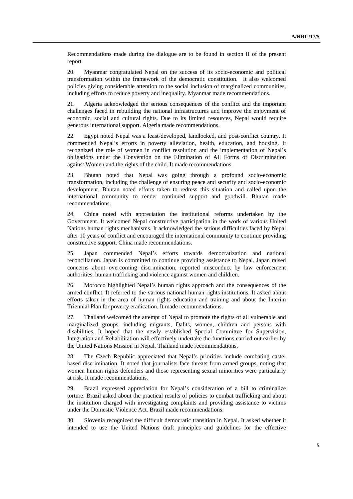Recommendations made during the dialogue are to be found in section II of the present report.

20. Myanmar congratulated Nepal on the success of its socio-economic and political transformation within the framework of the democratic constitution. It also welcomed policies giving considerable attention to the social inclusion of marginalized communities, including efforts to reduce poverty and inequality. Myanmar made recommendations.

21. Algeria acknowledged the serious consequences of the conflict and the important challenges faced in rebuilding the national infrastructures and improve the enjoyment of economic, social and cultural rights. Due to its limited resources, Nepal would require generous international support. Algeria made recommendations.

22. Egypt noted Nepal was a least-developed, landlocked, and post-conflict country. It commended Nepal's efforts in poverty alleviation, health, education, and housing. It recognized the role of women in conflict resolution and the implementation of Nepal's obligations under the Convention on the Elimination of All Forms of Discrimination against Women and the rights of the child. It made recommendations.

23. Bhutan noted that Nepal was going through a profound socio-economic transformation, including the challenge of ensuring peace and security and socio-economic development. Bhutan noted efforts taken to redress this situation and called upon the international community to render continued support and goodwill. Bhutan made recommendations.

24. China noted with appreciation the institutional reforms undertaken by the Government. It welcomed Nepal constructive participation in the work of various United Nations human rights mechanisms. It acknowledged the serious difficulties faced by Nepal after 10 years of conflict and encouraged the international community to continue providing constructive support. China made recommendations.

25. Japan commended Nepal's efforts towards democratization and national reconciliation. Japan is committed to continue providing assistance to Nepal. Japan raised concerns about overcoming discrimination, reported misconduct by law enforcement authorities, human trafficking and violence against women and children.

26. Morocco highlighted Nepal's human rights approach and the consequences of the armed conflict. It referred to the various national human rights institutions. It asked about efforts taken in the area of human rights education and training and about the Interim Triennial Plan for poverty eradication. It made recommendations.

27. Thailand welcomed the attempt of Nepal to promote the rights of all vulnerable and marginalized groups, including migrants, Dalits, women, children and persons with disabilities. It hoped that the newly established Special Committee for Supervision, Integration and Rehabilitation will effectively undertake the functions carried out earlier by the United Nations Mission in Nepal. Thailand made recommendations.

28. The Czech Republic appreciated that Nepal's priorities include combating castebased discrimination. It noted that journalists face threats from armed groups, noting that women human rights defenders and those representing sexual minorities were particularly at risk. It made recommendations.

29. Brazil expressed appreciation for Nepal's consideration of a bill to criminalize torture. Brazil asked about the practical results of policies to combat trafficking and about the institution charged with investigating complaints and providing assistance to victims under the Domestic Violence Act. Brazil made recommendations.

30. Slovenia recognized the difficult democratic transition in Nepal. It asked whether it intended to use the United Nations draft principles and guidelines for the effective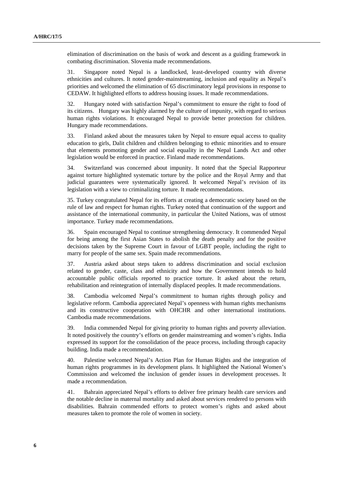elimination of discrimination on the basis of work and descent as a guiding framework in combating discrimination. Slovenia made recommendations.

31. Singapore noted Nepal is a landlocked, least-developed country with diverse ethnicities and cultures. It noted gender-mainstreaming, inclusion and equality as Nepal's priorities and welcomed the elimination of 65 discriminatory legal provisions in response to CEDAW. It highlighted efforts to address housing issues. It made recommendations.

32. Hungary noted with satisfaction Nepal's commitment to ensure the right to food of its citizens. Hungary was highly alarmed by the culture of impunity, with regard to serious human rights violations. It encouraged Nepal to provide better protection for children. Hungary made recommendations.

33. Finland asked about the measures taken by Nepal to ensure equal access to quality education to girls, Dalit children and children belonging to ethnic minorities and to ensure that elements promoting gender and social equality in the Nepal Lands Act and other legislation would be enforced in practice. Finland made recommendations.

34. Switzerland was concerned about impunity. It noted that the Special Rapporteur against torture highlighted systematic torture by the police and the Royal Army and that judicial guarantees were systematically ignored. It welcomed Nepal's revision of its legislation with a view to criminalizing torture. It made recommendations.

35. Turkey congratulated Nepal for its efforts at creating a democratic society based on the rule of law and respect for human rights. Turkey noted that continuation of the support and assistance of the international community, in particular the United Nations, was of utmost importance. Turkey made recommendations.

36. Spain encouraged Nepal to continue strengthening democracy. It commended Nepal for being among the first Asian States to abolish the death penalty and for the positive decisions taken by the Supreme Court in favour of LGBT people, including the right to marry for people of the same sex. Spain made recommendations.

37. Austria asked about steps taken to address discrimination and social exclusion related to gender, caste, class and ethnicity and how the Government intends to hold accountable public officials reported to practice torture. It asked about the return, rehabilitation and reintegration of internally displaced peoples. It made recommendations.

38. Cambodia welcomed Nepal's commitment to human rights through policy and legislative reform. Cambodia appreciated Nepal's openness with human rights mechanisms and its constructive cooperation with OHCHR and other international institutions. Cambodia made recommendations.

39. India commended Nepal for giving priority to human rights and poverty alleviation. It noted positively the country's efforts on gender mainstreaming and women's rights. India expressed its support for the consolidation of the peace process, including through capacity building. India made a recommendation.

40. Palestine welcomed Nepal's Action Plan for Human Rights and the integration of human rights programmes in its development plans. It highlighted the National Women's Commission and welcomed the inclusion of gender issues in development processes. It made a recommendation.

41. Bahrain appreciated Nepal's efforts to deliver free primary health care services and the notable decline in maternal mortality and asked about services rendered to persons with disabilities. Bahrain commended efforts to protect women's rights and asked about measures taken to promote the role of women in society.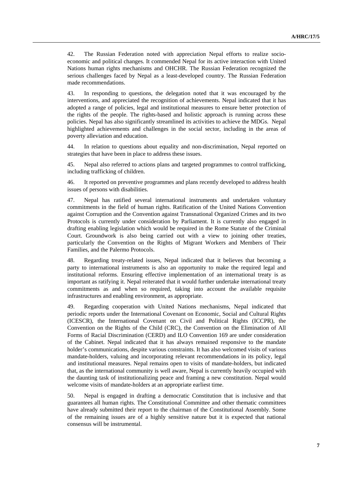42. The Russian Federation noted with appreciation Nepal efforts to realize socioeconomic and political changes. It commended Nepal for its active interaction with United Nations human rights mechanisms and OHCHR. The Russian Federation recognized the serious challenges faced by Nepal as a least-developed country. The Russian Federation made recommendations.

43. In responding to questions, the delegation noted that it was encouraged by the interventions, and appreciated the recognition of achievements. Nepal indicated that it has adopted a range of policies, legal and institutional measures to ensure better protection of the rights of the people. The rights-based and holistic approach is running across these policies. Nepal has also significantly streamlined its activities to achieve the MDGs. Nepal highlighted achievements and challenges in the social sector, including in the areas of poverty alleviation and education.

44. In relation to questions about equality and non-discrimination, Nepal reported on strategies that have been in place to address these issues.

45. Nepal also referred to actions plans and targeted programmes to control trafficking, including trafficking of children.

46. It reported on preventive programmes and plans recently developed to address health issues of persons with disabilities.

47. Nepal has ratified several international instruments and undertaken voluntary commitments in the field of human rights. Ratification of the United Nations Convention against Corruption and the Convention against Transnational Organized Crimes and its two Protocols is currently under consideration by Parliament. It is currently also engaged in drafting enabling legislation which would be required in the Rome Statute of the Criminal Court. Groundwork is also being carried out with a view to joining other treaties, particularly the Convention on the Rights of Migrant Workers and Members of Their Families, and the Palermo Protocols.

48. Regarding treaty-related issues, Nepal indicated that it believes that becoming a party to international instruments is also an opportunity to make the required legal and institutional reforms. Ensuring effective implementation of an international treaty is as important as ratifying it. Nepal reiterated that it would further undertake international treaty commitments as and when so required, taking into account the available requisite infrastructures and enabling environment, as appropriate.

49. Regarding cooperation with United Nations mechanisms, Nepal indicated that periodic reports under the International Covenant on Economic, Social and Cultural Rights (ICESCR), the International Covenant on Civil and Political Rights (ICCPR), the Convention on the Rights of the Child (CRC), the Convention on the Elimination of All Forms of Racial Discrimination (CERD) and ILO Convention 169 are under consideration of the Cabinet. Nepal indicated that it has always remained responsive to the mandate holder's communications, despite various constraints. It has also welcomed visits of various mandate-holders, valuing and incorporating relevant recommendations in its policy, legal and institutional measures. Nepal remains open to visits of mandate-holders, but indicated that, as the international community is well aware, Nepal is currently heavily occupied with the daunting task of institutionalizing peace and framing a new constitution. Nepal would welcome visits of mandate-holders at an appropriate earliest time.

50. Nepal is engaged in drafting a democratic Constitution that is inclusive and that guarantees all human rights. The Constitutional Committee and other thematic committees have already submitted their report to the chairman of the Constitutional Assembly. Some of the remaining issues are of a highly sensitive nature but it is expected that national consensus will be instrumental.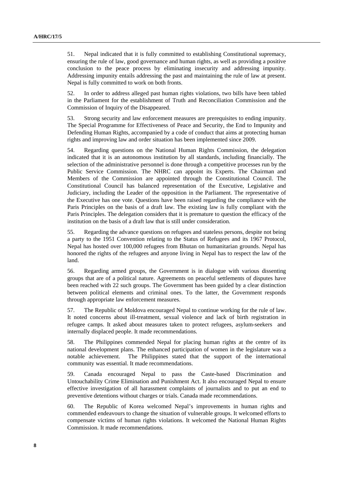51. Nepal indicated that it is fully committed to establishing Constitutional supremacy, ensuring the rule of law, good governance and human rights, as well as providing a positive conclusion to the peace process by eliminating insecurity and addressing impunity. Addressing impunity entails addressing the past and maintaining the rule of law at present. Nepal is fully committed to work on both fronts.

52. In order to address alleged past human rights violations, two bills have been tabled in the Parliament for the establishment of Truth and Reconciliation Commission and the Commission of Inquiry of the Disappeared.

53. Strong security and law enforcement measures are prerequisites to ending impunity. The Special Programme for Effectiveness of Peace and Security, the End to Impunity and Defending Human Rights, accompanied by a code of conduct that aims at protecting human rights and improving law and order situation has been implemented since 2009.

54. Regarding questions on the National Human Rights Commission, the delegation indicated that it is an autonomous institution by all standards, including financially. The selection of the administrative personnel is done through a competitive processes run by the Public Service Commission. The NHRC can appoint its Experts. The Chairman and Members of the Commission are appointed through the Constitutional Council. The Constitutional Council has balanced representation of the Executive, Legislative and Judiciary, including the Leader of the opposition in the Parliament. The representative of the Executive has one vote. Questions have been raised regarding the compliance with the Paris Principles on the basis of a draft law. The existing law is fully compliant with the Paris Principles. The delegation considers that it is premature to question the efficacy of the institution on the basis of a draft law that is still under consideration.

55. Regarding the advance questions on refugees and stateless persons, despite not being a party to the 1951 Convention relating to the Status of Refugees and its 1967 Protocol, Nepal has hosted over 100,000 refugees from Bhutan on humanitarian grounds. Nepal has honored the rights of the refugees and anyone living in Nepal has to respect the law of the land.

56. Regarding armed groups, the Government is in dialogue with various dissenting groups that are of a political nature. Agreements on peaceful settlements of disputes have been reached with 22 such groups. The Government has been guided by a clear distinction between political elements and criminal ones. To the latter, the Government responds through appropriate law enforcement measures.

57. The Republic of Moldova encouraged Nepal to continue working for the rule of law. It noted concerns about ill-treatment, sexual violence and lack of birth registration in refugee camps. It asked about measures taken to protect refugees, asylum-seekers and internally displaced people. It made recommendations.

58. The Philippines commended Nepal for placing human rights at the centre of its national development plans. The enhanced participation of women in the legislature was a notable achievement. The Philippines stated that the support of the international community was essential. It made recommendations.

59. Canada encouraged Nepal to pass the Caste-based Discrimination and Untouchability Crime Elimination and Punishment Act. It also encouraged Nepal to ensure effective investigation of all harassment complaints of journalists and to put an end to preventive detentions without charges or trials. Canada made recommendations.

60. The Republic of Korea welcomed Nepal's improvements in human rights and commended endeavours to change the situation of vulnerable groups. It welcomed efforts to compensate victims of human rights violations. It welcomed the National Human Rights Commission. It made recommendations.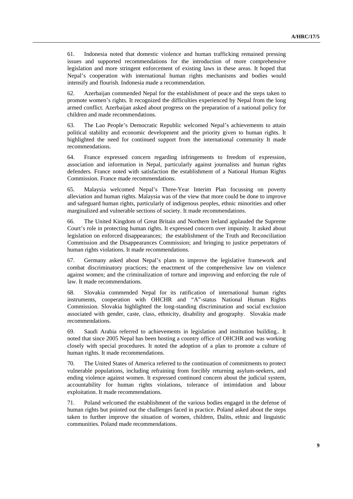61. Indonesia noted that domestic violence and human trafficking remained pressing issues and supported recommendations for the introduction of more comprehensive legislation and more stringent enforcement of existing laws in these areas. It hoped that Nepal's cooperation with international human rights mechanisms and bodies would intensify and flourish. Indonesia made a recommendation.

62. Azerbaijan commended Nepal for the establishment of peace and the steps taken to promote women's rights. It recognized the difficulties experienced by Nepal from the long armed conflict. Azerbaijan asked about progress on the preparation of a national policy for children and made recommendations.

63. The Lao People's Democratic Republic welcomed Nepal's achievements to attain political stability and economic development and the priority given to human rights. It highlighted the need for continued support from the international community It made recommendations.

64. France expressed concern regarding infringements to freedom of expression, association and information in Nepal, particularly against journalists and human rights defenders. France noted with satisfaction the establishment of a National Human Rights Commission. France made recommendations.

65. Malaysia welcomed Nepal's Three-Year Interim Plan focussing on poverty alleviation and human rights. Malaysia was of the view that more could be done to improve and safeguard human rights, particularly of indigenous peoples, ethnic minorities and other marginalized and vulnerable sections of society. It made recommendations.

66. The United Kingdom of Great Britain and Northern Ireland applauded the Supreme Court's role in protecting human rights. It expressed concern over impunity. It asked about legislation on enforced disappearances; the establishment of the Truth and Reconciliation Commission and the Disappearances Commission; and bringing to justice perpetrators of human rights violations. It made recommendations.

67. Germany asked about Nepal's plans to improve the legislative framework and combat discriminatory practices; the enactment of the comprehensive law on violence against women; and the criminalization of torture and improving and enforcing the rule of law. It made recommendations.

68. Slovakia commended Nepal for its ratification of international human rights instruments, cooperation with OHCHR and "A"-status National Human Rights Commission. Slovakia highlighted the long-standing discrimination and social exclusion associated with gender, caste, class, ethnicity, disability and geography. Slovakia made recommendations.

69. Saudi Arabia referred to achievements in legislation and institution building.. It noted that since 2005 Nepal has been hosting a country office of OHCHR and was working closely with special procedures. It noted the adoption of a plan to promote a culture of human rights. It made recommendations.

70. The United States of America referred to the continuation of commitments to protect vulnerable populations, including refraining from forcibly returning asylum-seekers, and ending violence against women. It expressed continued concern about the judicial system, accountability for human rights violations, tolerance of intimidation and labour exploitation. It made recommendations.

71. Poland welcomed the establishment of the various bodies engaged in the defense of human rights but pointed out the challenges faced in practice. Poland asked about the steps taken to further improve the situation of women, children, Dalits, ethnic and linguistic communities. Poland made recommendations.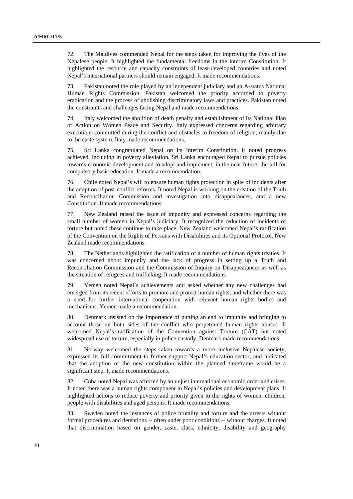72. The Maldives commended Nepal for the steps taken for improving the lives of the Nepalese people. It highlighted the fundamental freedoms in the interim Constitution. It highlighted the resource and capacity constraints of least-developed countries and noted Nepal's international partners should remain engaged. It made recommendations.

73. Pakistan noted the role played by an independent judiciary and an A-status National Human Rights Commission. Pakistan welcomed the priority accorded to poverty eradication and the process of abolishing discriminatory laws and practices. Pakistan noted the constraints and challenges facing Nepal and made recommendations.

74. Italy welcomed the abolition of death penalty and establishment of its National Plan of Action on Women Peace and Security. Italy expressed concerns regarding arbitrary executions committed during the conflict and obstacles to freedom of religion, mainly due to the caste system. Italy made recommendations.

75. Sri Lanka congratulated Nepal on its Interim Constitution. It noted progress achieved, including in poverty alleviation. Sri Lanka encouraged Nepal to pursue policies towards economic development and to adopt and implement, in the near future, the bill for compulsory basic education. It made a recommendation.

76. Chile noted Nepal's will to ensure human rights protection in spite of incidents after the adoption of post-conflict reforms. It noted Nepal is working on the creation of the Truth and Reconciliation Commission and investigation into disappearances, and a new Constitution. It made recommendations.

77. New Zealand raised the issue of impunity and expressed concerns regarding the small number of women in Nepal's judiciary. It recognized the reduction of incidents of torture but noted these continue to take place. New Zealand welcomed Nepal's ratification of the Convention on the Rights of Persons with Disabilities and its Optional Protocol. New Zealand made recommendations.

78. The Netherlands highlighted the ratification of a number of human rights treaties. It was concerned about impunity and the lack of progress in setting up a Truth and Reconciliation Commission and the Commission of Inquiry on Disappearances as well as the situation of refugees and trafficking. It made recommendations.

79. Yemen noted Nepal's achievements and asked whether any new challenges had emerged from its recent efforts to promote and protect human rights, and whether there was a need for further international cooperation with relevant human rights bodies and mechanisms. Yemen made a recommendation.

80. Denmark insisted on the importance of putting an end to impunity and bringing to account those on both sides of the conflict who perpetrated human rights abuses. It welcomed Nepal's ratification of the Convention against Torture (CAT) but noted widespread use of torture, especially in police custody. Denmark made recommendations.

81. Norway welcomed the steps taken towards a more inclusive Nepalese society, expressed its full commitment to further support Nepal's education sector, and indicated that the adoption of the new constitution within the planned timeframe would be a significant step. It made recommendations.

82. Cuba noted Nepal was affected by an unjust international economic order and crises. It noted there was a human rights component in Nepal's policies and development plans. It highlighted actions to reduce poverty and priority given to the rights of women, children, people with disabilities and aged persons. It made recommendations.

83. Sweden noted the instances of police brutality and torture and the arrests without formal procedures and detentions -- often under poor conditions -- without charges. It noted that discrimination based on gender, caste, class, ethnicity, disability and geography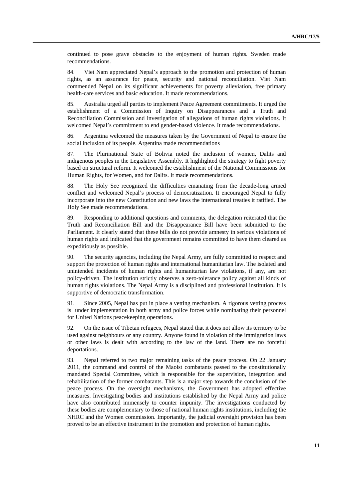continued to pose grave obstacles to the enjoyment of human rights. Sweden made recommendations.

84. Viet Nam appreciated Nepal's approach to the promotion and protection of human rights, as an assurance for peace, security and national reconciliation. Viet Nam commended Nepal on its significant achievements for poverty alleviation, free primary health-care services and basic education. It made recommendations.

85. Australia urged all parties to implement Peace Agreement commitments. It urged the establishment of a Commission of Inquiry on Disappearances and a Truth and Reconciliation Commission and investigation of allegations of human rights violations. It welcomed Nepal's commitment to end gender-based violence. It made recommendations.

86. Argentina welcomed the measures taken by the Government of Nepal to ensure the social inclusion of its people. Argentina made recommendations

87. The Plurinational State of Bolivia noted the inclusion of women, Dalits and indigenous peoples in the Legislative Assembly. It highlighted the strategy to fight poverty based on structural reform. It welcomed the establishment of the National Commissions for Human Rights, for Women, and for Dalits. It made recommendations.

88. The Holy See recognized the difficulties emanating from the decade-long armed conflict and welcomed Nepal's process of democratization. It encouraged Nepal to fully incorporate into the new Constitution and new laws the international treaties it ratified. The Holy See made recommendations.

89. Responding to additional questions and comments, the delegation reiterated that the Truth and Reconciliation Bill and the Disappearance Bill have been submitted to the Parliament. It clearly stated that these bills do not provide amnesty in serious violations of human rights and indicated that the government remains committed to have them cleared as expeditiously as possible.

90. The security agencies, including the Nepal Army, are fully committed to respect and support the protection of human rights and international humanitarian law. The isolated and unintended incidents of human rights and humanitarian law violations, if any, are not policy-driven. The institution strictly observes a zero-tolerance policy against all kinds of human rights violations. The Nepal Army is a disciplined and professional institution. It is supportive of democratic transformation.

91. Since 2005, Nepal has put in place a vetting mechanism. A rigorous vetting process is under implementation in both army and police forces while nominating their personnel for United Nations peacekeeping operations.

92. On the issue of Tibetan refugees, Nepal stated that it does not allow its territory to be used against neighbours or any country. Anyone found in violation of the immigration laws or other laws is dealt with according to the law of the land. There are no forceful deportations.

93. Nepal referred to two major remaining tasks of the peace process. On 22 January 2011, the command and control of the Maoist combatants passed to the constitutionally mandated Special Committee, which is responsible for the supervision, integration and rehabilitation of the former combatants. This is a major step towards the conclusion of the peace process. On the oversight mechanisms, the Government has adopted effective measures. Investigating bodies and institutions established by the Nepal Army and police have also contributed immensely to counter impunity. The investigations conducted by these bodies are complementary to those of national human rights institutions, including the NHRC and the Women commission. Importantly, the judicial oversight provision has been proved to be an effective instrument in the promotion and protection of human rights.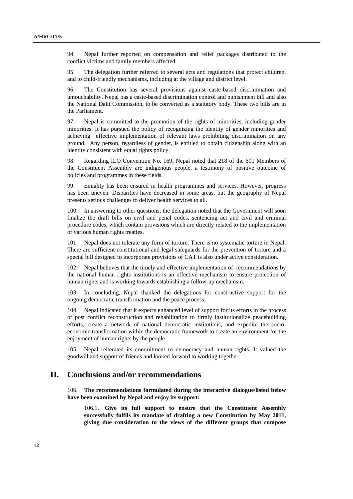94. Nepal further reported on compensation and relief packages distributed to the conflict victims and family members affected.

95. The delegation further referred to several acts and regulations that protect children, and to child-friendly mechanisms, including at the village and district level.

96. The Constitution has several provisions against caste-based discrimination and untouchability. Nepal has a caste-based discrimination control and punishment bill and also the National Dalit Commission, to be converted as a statutory body. These two bills are in the Parliament.

97. Nepal is committed to the promotion of the rights of minorities, including gender minorities. It has pursued the policy of recognizing the identity of gender minorities and achieving effective implementation of relevant laws prohibiting discrimination on any ground. Any person, regardless of gender, is entitled to obtain citizenship along with an identity consistent with equal rights policy.

98. Regarding ILO Convention No. 169, Nepal noted that 218 of the 601 Members of the Constituent Assembly are indigenous people, a testimony of positive outcome of policies and programmes in these fields.

99. Equality has been ensured in health programmes and services. However, progress has been uneven. Disparities have decreased in some areas, but the geography of Nepal presents serious challenges to deliver health services to all.

100. In answering to other questions, the delegation noted that the Government will soon finalize the draft bills on civil and penal codes, sentencing act and civil and criminal procedure codes, which contain provisions which are directly related to the implementation of various human rights treaties.

101. Nepal does not tolerate any form of torture. There is no systematic torture in Nepal. There are sufficient constitutional and legal safeguards for the prevention of torture and a special bill designed to incorporate provisions of CAT is also under active consideration.

102. Nepal believes that the timely and effective implementation of recommendations by the national human rights institutions is an effective mechanism to ensure protection of human rights and is working towards establishing a follow-up mechanism.

In concluding, Nepal thanked the delegations for constructive support for the ongoing democratic transformation and the peace process.

104. Nepal indicated that it expects enhanced level of support for its efforts in the process of post conflict reconstruction and rehabilitation to firmly institutionalize peacebuilding efforts, create a network of national democratic institutions, and expedite the socioeconomic transformation within the democratic framework to create an environment for the enjoyment of human rights by the people.

105. Nepal reiterated its commitment to democracy and human rights. It valued the goodwill and support of friends and looked forward to working together.

### **II. Conclusions and/or recommendations**

106. **The recommendations formulated during the interactive dialogue/listed below have been examined by Nepal and enjoy its support:** 

106.1. **Give its full support to ensure that the Constituent Assembly successfully fulfils its mandate of drafting a new Constitution by May 2011, giving due consideration to the views of the different groups that compose**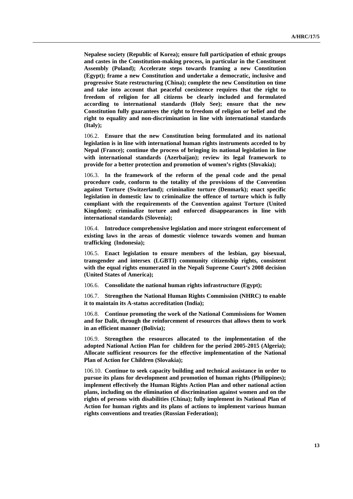**Nepalese society (Republic of Korea); ensure full participation of ethnic groups and castes in the Constitution-making process, in particular in the Constituent Assembly (Poland); Accelerate steps towards framing a new Constitution (Egypt); frame a new Constitution and undertake a democratic, inclusive and progressive State restructuring (China); complete the new Constitution on time and take into account that peaceful coexistence requires that the right to freedom of religion for all citizens be clearly included and formulated according to international standards (Holy See); ensure that the new Constitution fully guarantees the right to freedom of religion or belief and the right to equality and non-discrimination in line with international standards (Italy);** 

106.2. **Ensure that the new Constitution being formulated and its national legislation is in line with international human rights instruments acceded to by Nepal (France); continue the process of bringing its national legislation in line with international standards (Azerbaijan); review its legal framework to provide for a better protection and promotion of women's rights (Slovakia);** 

106.3. **In the framework of the reform of the penal code and the penal procedure code, conform to the totality of the provisions of the Convention against Torture (Switzerland); criminalize torture (Denmark); enact specific legislation in domestic law to criminalize the offence of torture which is fully compliant with the requirements of the Convention against Torture (United Kingdom); criminalize torture and enforced disappearances in line with international standards (Slovenia);** 

106.4. **Introduce comprehensive legislation and more stringent enforcement of existing laws in the areas of domestic violence towards women and human trafficking (Indonesia);** 

106.5. **Enact legislation to ensure members of the lesbian, gay bisexual, transgender and intersex (LGBTI) community citizenship rights, consistent with the equal rights enumerated in the Nepali Supreme Court's 2008 decision (United States of America);** 

106.6. **Consolidate the national human rights infrastructure (Egypt);** 

106.7. **Strengthen the National Human Rights Commission (NHRC) to enable it to maintain its A-status accreditation (India);** 

106.8. **Continue promoting the work of the National Commissions for Women and for Dalit, through the reinforcement of resources that allows them to work in an efficient manner (Bolivia);** 

106.9. **Strengthen the resources allocated to the implementation of the adopted National Action Plan for children for the period 2005-2015 (Algeria); Allocate sufficient resources for the effective implementation of the National Plan of Action for Children (Slovakia);** 

106.10. **Continue to seek capacity building and technical assistance in order to pursue its plans for development and promotion of human rights (Philippines); implement effectively the Human Rights Action Plan and other national action plans, including on the elimination of discrimination against women and on the rights of persons with disabilities (China); fully implement its National Plan of Action for human rights and its plans of actions to implement various human rights conventions and treaties (Russian Federation);**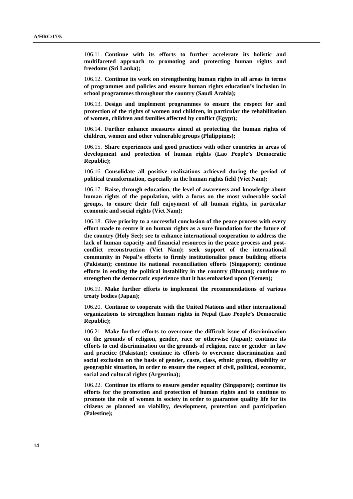106.11. **Continue with its efforts to further accelerate its holistic and multifaceted approach to promoting and protecting human rights and freedoms (Sri Lanka);** 

106.12. **Continue its work on strengthening human rights in all areas in terms of programmes and policies and ensure human rights education's inclusion in school programmes throughout the country (Saudi Arabia);** 

106.13. **Design and implement programmes to ensure the respect for and protection of the rights of women and children, in particular the rehabilitation of women, children and families affected by conflict (Egypt);** 

106.14. **Further enhance measures aimed at protecting the human rights of children, women and other vulnerable groups (Philippines);** 

106.15. **Share experiences and good practices with other countries in areas of development and protection of human rights (Lao People's Democratic Republic);** 

106.16. **Consolidate all positive realizations achieved during the period of political transformation, especially in the human rights field (Viet Nam);** 

106.17. **Raise, through education, the level of awareness and knowledge about human rights of the population, with a focus on the most vulnerable social groups, to ensure their full enjoyment of all human rights, in particular economic and social rights (Viet Nam);** 

106.18. **Give priority to a successful conclusion of the peace process with every effort made to centre it on human rights as a sure foundation for the future of the country (Holy See); see to enhance international cooperation to address the lack of human capacity and financial resources in the peace process and postconflict reconstruction (Viet Nam); seek support of the international community in Nepal's efforts to firmly institutionalize peace building efforts (Pakistan); continue its national reconciliation efforts (Singapore); continue efforts in ending the political instability in the country (Bhutan); continue to strengthen the democratic experience that it has embarked upon (Yemen);** 

106.19. **Make further efforts to implement the recommendations of various treaty bodies (Japan);** 

106.20. **Continue to cooperate with the United Nations and other international organizations to strengthen human rights in Nepal (Lao People's Democratic Republic);** 

106.21. **Make further efforts to overcome the difficult issue of discrimination on the grounds of religion, gender, race or otherwise (Japan); continue its efforts to end discrimination on the grounds of religion, race or gender in law and practice (Pakistan); continue its efforts to overcome discrimination and social exclusion on the basis of gender, caste, class, ethnic group, disability or geographic situation, in order to ensure the respect of civil, political, economic, social and cultural rights (Argentina);** 

106.22. **Continue its efforts to ensure gender equality (Singapore); continue its efforts for the promotion and protection of human rights and to continue to promote the role of women in society in order to guarantee quality life for its citizens as planned on viability, development, protection and participation (Palestine);**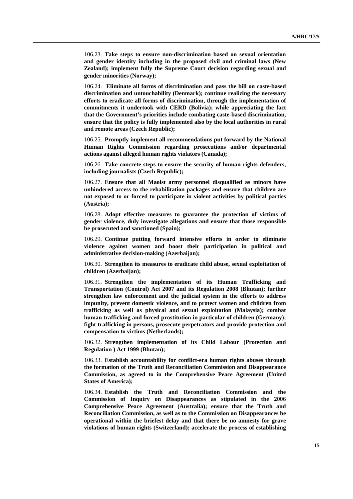106.23. **Take steps to ensure non-discrimination based on sexual orientation and gender identity including in the proposed civil and criminal laws (New Zealand); implement fully the Supreme Court decision regarding sexual and gender minorities (Norway);** 

106.24. **Eliminate all forms of discrimination and pass the bill on caste-based discrimination and untouchability (Denmark); continue realizing the necessary efforts to eradicate all forms of discrimination, through the implementation of commitments it undertook with CERD (Bolivia); while appreciating the fact that the Government's priorities include combating caste-based discrimination, ensure that the policy is fully implemented also by the local authorities in rural and remote areas (Czech Republic);** 

106.25. **Promptly implement all recommendations put forward by the National Human Rights Commission regarding prosecutions and/or departmental actions against alleged human rights violators (Canada);** 

106.26. **Take concrete steps to ensure the security of human rights defenders, including journalists (Czech Republic);** 

106.27. **Ensure that all Maoist army personnel disqualified as minors have unhindered access to the rehabilitation packages and ensure that children are not exposed to or forced to participate in violent activities by political parties (Austria);** 

106.28. **Adopt effective measures to guarantee the protection of victims of gender violence, duly investigate allegations and ensure that those responsible be prosecuted and sanctioned (Spain);** 

106.29. **Continue putting forward intensive efforts in order to eliminate violence against women and boost their participation in political and administrative decision-making (Azerbaijan);** 

106.30. **Strengthen its measures to eradicate child abuse, sexual exploitation of children (Azerbaijan);** 

106.31. **Strengthen the implementation of its Human Trafficking and Transportation (Control) Act 2007 and its Regulation 2008 (Bhutan); further strengthen law enforcement and the judicial system in the efforts to address impunity, prevent domestic violence, and to protect women and children from trafficking as well as physical and sexual exploitation (Malaysia); combat human trafficking and forced prostitution in particular of children (Germany); fight trafficking in persons, prosecute perpetrators and provide protection and compensation to victims (Netherlands);** 

106.32. **Strengthen implementation of its Child Labour (Protection and Regulation ) Act 1999 (Bhutan);** 

106.33. **Establish accountability for conflict-era human rights abuses through the formation of the Truth and Reconciliation Commission and Disappearance Commission, as agreed to in the Comprehensive Peace Agreement (United States of America);** 

106.34. **Establish the Truth and Reconciliation Commission and the Commission of Inquiry on Disappearances as stipulated in the 2006 Comprehensive Peace Agreement (Australia); ensure that the Truth and Reconciliation Commission, as well as to the Commission on Disappearances be operational within the briefest delay and that there be no amnesty for grave violations of human rights (Switzerland); accelerate the process of establishing**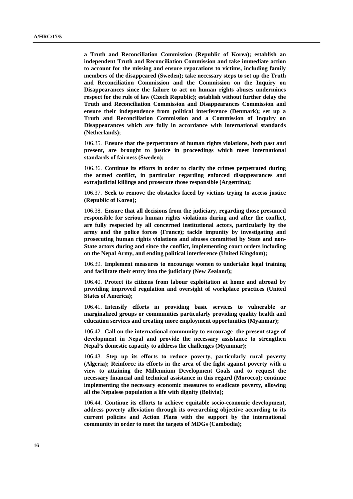**a Truth and Reconciliation Commission (Republic of Korea); establish an independent Truth and Reconciliation Commission and take immediate action to account for the missing and ensure reparations to victims, including family members of the disappeared (Sweden); take necessary steps to set up the Truth and Reconciliation Commission and the Commission on the Inquiry on Disappearances since the failure to act on human rights abuses undermines respect for the rule of law (Czech Republic); establish without further delay the Truth and Reconciliation Commission and Disappearances Commission and ensure their independence from political interference (Denmark); set up a Truth and Reconciliation Commission and a Commission of Inquiry on Disappearances which are fully in accordance with international standards (Netherlands);** 

106.35. **Ensure that the perpetrators of human rights violations, both past and present, are brought to justice in proceedings which meet international standards of fairness (Sweden);** 

106.36. **Continue its efforts in order to clarify the crimes perpetrated during the armed conflict, in particular regarding enforced disappearances and extrajudicial killings and prosecute those responsible (Argentina);** 

106.37. **Seek to remove the obstacles faced by victims trying to access justice (Republic of Korea);** 

106.38. **Ensure that all decisions from the judiciary, regarding those presumed responsible for serious human rights violations during and after the conflict, are fully respected by all concerned institutional actors, particularly by the army and the police forces (France); tackle impunity by investigating and prosecuting human rights violations and abuses committed by State and non-State actors during and since the conflict, implementing court orders including on the Nepal Army, and ending political interference (United Kingdom);** 

106.39. **Implement measures to encourage women to undertake legal training and facilitate their entry into the judiciary (New Zealand);** 

106.40. **Protect its citizens from labour exploitation at home and abroad by providing improved regulation and oversight of workplace practices (United States of America);** 

106.41. **Intensify efforts in providing basic services to vulnerable or marginalized groups or communities particularly providing quality health and education services and creating more employment opportunities (Myanmar);** 

106.42. **Call on the international community to encourage the present stage of development in Nepal and provide the necessary assistance to strengthen Nepal's domestic capacity to address the challenges (Myanmar);** 

106.43. **Step up its efforts to reduce poverty, particularly rural poverty (Algeria); Reinforce its efforts in the area of the fight against poverty with a view to attaining the Millennium Development Goals and to request the necessary financial and technical assistance in this regard (Morocco); continue implementing the necessary economic measures to eradicate poverty, allowing all the Nepalese population a life with dignity (Bolivia);** 

106.44. **Continue its efforts to achieve equitable socio-economic development, address poverty alleviation through its overarching objective according to its current policies and Action Plans with the support by the international community in order to meet the targets of MDGs (Cambodia);**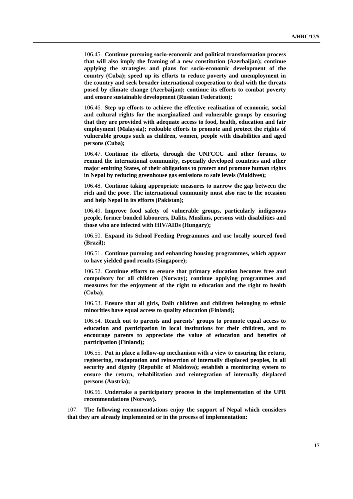106.45. **Continue pursuing socio-economic and political transformation process that will also imply the framing of a new constitution (Azerbaijan); continue applying the strategies and plans for socio-economic development of the country (Cuba); speed up its efforts to reduce poverty and unemployment in the country and seek broader international cooperation to deal with the threats posed by climate change (Azerbaijan); continue its efforts to combat poverty and ensure sustainable development (Russian Federation);** 

106.46. **Step up efforts to achieve the effective realization of economic, social and cultural rights for the marginalized and vulnerable groups by ensuring that they are provided with adequate access to food, health, education and fair employment (Malaysia); redouble efforts to promote and protect the rights of vulnerable groups such as children, women, people with disabilities and aged persons (Cuba);** 

106.47. **Continue its efforts, through the UNFCCC and other forums, to remind the international community, especially developed countries and other major emitting States, of their obligations to protect and promote human rights in Nepal by reducing greenhouse gas emissions to safe levels (Maldives);** 

106.48. **Continue taking appropriate measures to narrow the gap between the rich and the poor. The international community must also rise to the occasion and help Nepal in its efforts (Pakistan);** 

106.49. **Improve food safety of vulnerable groups, particularly indigenous people, former bonded labourers, Dalits, Muslims, persons with disabilities and those who are infected with HIV/AIDs (Hungary);** 

106.50. **Expand its School Feeding Programmes and use locally sourced food (Brazil);** 

106.51. **Continue pursuing and enhancing housing programmes, which appear to have yielded good results (Singapore);** 

106.52. **Continue efforts to ensure that primary education becomes free and compulsory for all children (Norway); continue applying programmes and measures for the enjoyment of the right to education and the right to health (Cuba);** 

106.53. **Ensure that all girls, Dalit children and children belonging to ethnic minorities have equal access to quality education (Finland);** 

106.54. **Reach out to parents and parents' groups to promote equal access to education and participation in local institutions for their children, and to encourage parents to appreciate the value of education and benefits of participation (Finland);** 

106.55. **Put in place a follow-up mechanism with a view to ensuring the return, registering, readaptation and reinsertion of internally displaced peoples, in all security and dignity (Republic of Moldova); establish a monitoring system to ensure the return, rehabilitation and reintegration of internally displaced persons (Austria);** 

106.56. **Undertake a participatory process in the implementation of the UPR recommendations (Norway).** 

107. **The following recommendations enjoy the support of Nepal which considers that they are already implemented or in the process of implementation:**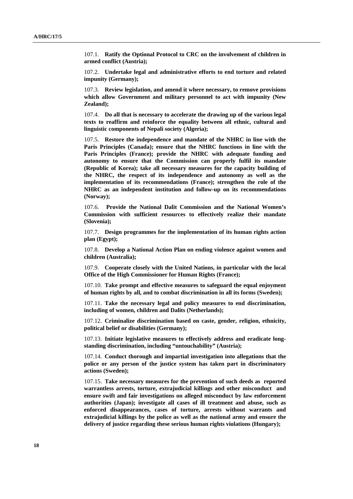107.1. **Ratify the Optional Protocol to CRC on the involvement of children in armed conflict (Austria);** 

107.2. **Undertake legal and administrative efforts to end torture and related impunity (Germany);** 

107.3. **Review legislation, and amend it where necessary, to remove provisions which allow Government and military personnel to act with impunity (New Zealand);** 

107.4. **Do all that is necessary to accelerate the drawing up of the various legal texts to reaffirm and reinforce the equality between all ethnic, cultural and linguistic components of Nepali society (Algeria);** 

107.5. **Restore the independence and mandate of the NHRC in line with the Paris Principles (Canada); ensure that the NHRC functions in line with the Paris Principles (France); provide the NHRC with adequate funding and autonomy to ensure that the Commission can properly fulfil its mandate (Republic of Korea); take all necessary measures for the capacity building of the NHRC, the respect of its independence and autonomy as well as the implementation of its recommendations (France); strengthen the role of the NHRC as an independent institution and follow-up on its recommendations (Norway);** 

107.6. **Provide the National Dalit Commission and the National Women's Commission with sufficient resources to effectively realize their mandate (Slovenia);** 

107.7. **Design programmes for the implementation of its human rights action plan (Egypt);** 

107.8. **Develop a National Action Plan on ending violence against women and children (Australia);** 

107.9. **Cooperate closely with the United Nations, in particular with the local Office of the High Commissioner for Human Rights (France);** 

107.10. **Take prompt and effective measures to safeguard the equal enjoyment of human rights by all, and to combat discrimination in all its forms (Sweden);** 

107.11. **Take the necessary legal and policy measures to end discrimination, including of women, children and Dalits (Netherlands);** 

107.12. **Criminalize discrimination based on caste, gender, religion, ethnicity, political belief or disabilities (Germany);** 

107.13. **Initiate legislative measures to effectively address and eradicate longstanding discrimination, including "untouchability" (Austria);** 

107.14. **Conduct thorough and impartial investigation into allegations that the police or any person of the justice system has taken part in discriminatory actions (Sweden);** 

107.15. **Take necessary measures for the prevention of such deeds as reported warrantless arrests, torture, extrajudicial killings and other misconduct and ensure swift and fair investigations on alleged misconduct by law enforcement authorities (Japan); investigate all cases of ill treatment and abuse, such as enforced disappearances, cases of torture, arrests without warrants and extrajudicial killings by the police as well as the national army and ensure the delivery of justice regarding these serious human rights violations (Hungary);**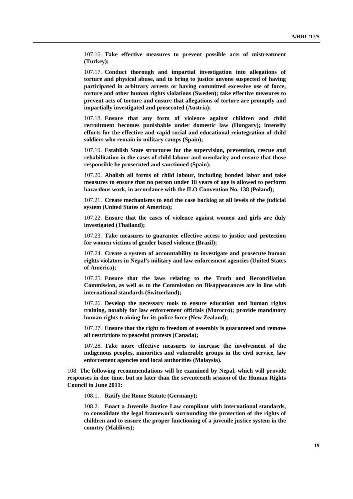107.16. **Take effective measures to prevent possible acts of mistreatment (Turkey);** 

107.17. **Conduct thorough and impartial investigation into allegations of torture and physical abuse, and to bring to justice anyone suspected of having participated in arbitrary arrests or having committed excessive use of force, torture and other human rights violations (Sweden); take effective measures to prevent acts of torture and ensure that allegations of torture are promptly and impartially investigated and prosecuted (Austria);** 

107.18. **Ensure that any form of violence against children and child recruitment becomes punishable under domestic law (Hungary); intensify efforts for the effective and rapid social and educational reintegration of child soldiers who remain in military camps (Spain);** 

107.19. **Establish State structures for the supervision, prevention, rescue and rehabilitation in the cases of child labour and mendacity and ensure that those responsible be prosecuted and sanctioned (Spain);** 

107.20. **Abolish all forms of child labour, including bonded labor and take measures to ensure that no person under 18 years of age is allowed to perform hazardous work, in accordance with the ILO Convention No. 138 (Poland);** 

107.21. **Create mechanisms to end the case backlog at all levels of the judicial system (United States of America);** 

107.22. **Ensure that the cases of violence against women and girls are duly investigated (Thailand);** 

107.23. **Take measures to guarantee effective access to justice and protection for women victims of gender based violence (Brazil);** 

107.24. **Create a system of accountability to investigate and prosecute human rights violators in Nepal's military and law enforcement agencies (United States of America);** 

107.25. **Ensure that the laws relating to the Truth and Reconciliation Commission, as well as to the Commission on Disappearances are in line with international standards (Switzerland);** 

107.26. **Develop the necessary tools to ensure education and human rights training, notably for law enforcement officials (Morocco); provide mandatory human rights training for its police force (New Zealand);** 

107.27. **Ensure that the right to freedom of assembly is guaranteed and remove all restrictions to peaceful protests (Canada);** 

107.28. **Take more effective measures to increase the involvement of the indigenous peoples, minorities and vulnerable groups in the civil service, law enforcement agencies and local authorities (Malaysia).** 

108. **The following recommendations will be examined by Nepal, which will provide responses in due time, but no later than the seventeenth session of the Human Rights Council in June 2011:** 

108.1. **Ratify the Rome Statute (Germany);** 

108.2. **Enact a Juvenile Justice Law compliant with international standards, to consolidate the legal framework surrounding the protection of the rights of children and to ensure the proper functioning of a juvenile justice system in the country (Maldives);**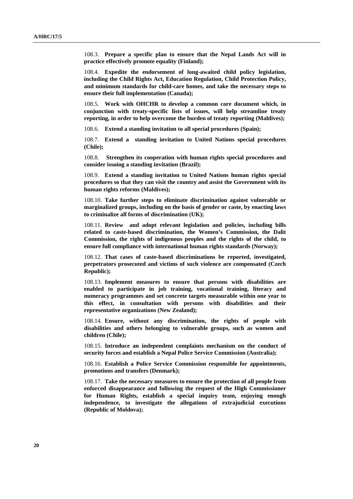108.3. **Prepare a specific plan to ensure that the Nepal Lands Act will in practice effectively promote equality (Finland);** 

108.4. **Expedite the endorsement of long-awaited child policy legislation, including the Child Rights Act, Education Regulation, Child Protection Policy, and minimum standards for child-care homes, and take the necessary steps to ensure their full implementation (Canada);** 

108.5. **Work with OHCHR to develop a common core document which, in conjunction with treaty-specific lists of issues, will help streamline treaty reporting, in order to help overcome the burden of treaty reporting (Maldives);** 

108.6. **Extend a standing invitation to all special procedures (Spain);** 

108.7. **Extend a standing invitation to United Nations special procedures (Chile);** 

108.8. **Strengthen its cooperation with human rights special procedures and consider issuing a standing invitation (Brazil);** 

108.9. **Extend a standing invitation to United Nations human rights special procedures so that they can visit the country and assist the Government with its human rights reforms (Maldives);** 

108.10. **Take further steps to eliminate discrimination against vulnerable or marginalized groups, including on the basis of gender or caste, by enacting laws to criminalize all forms of discrimination (UK);** 

108.11. **Review and adopt relevant legislation and policies, including bills related to caste-based discrimination, the Women's Commission, the Dalit Commission, the rights of indigenous peoples and the rights of the child, to ensure full compliance with international human rights standards (Norway);** 

108.12. **That cases of caste-based discriminations be reported, investigated, perpetrators prosecuted and victims of such violence are compensated (Czech Republic);** 

108.13. **Implement measures to ensure that persons with disabilities are enabled to participate in job training, vocational training, literacy and numeracy programmes and set concrete targets measurable within one year to this effect, in consultation with persons with disabilities and their representative organizations (New Zealand);** 

108.14. **Ensure, without any discrimination, the rights of people with disabilities and others belonging to vulnerable groups, such as women and children (Chile);** 

108.15. **Introduce an independent complaints mechanism on the conduct of security forces and establish a Nepal Police Service Commission (Australia);** 

108.16. **Establish a Police Service Commission responsible for appointments, promotions and transfers (Denmark);** 

108.17. **Take the necessary measures to ensure the protection of all people from enforced disappearance and following the request of the High Commissioner for Human Rights, establish a special inquiry team, enjoying enough independence, to investigate the allegations of extrajudicial executions (Republic of Moldova);**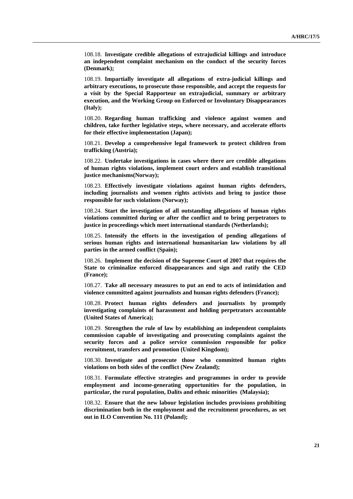108.18. **Investigate credible allegations of extrajudicial killings and introduce an independent complaint mechanism on the conduct of the security forces (Denmark);** 

108.19. **Impartially investigate all allegations of extra-judicial killings and arbitrary executions, to prosecute those responsible, and accept the requests for a visit by the Special Rapporteur on extrajudicial, summary or arbitrary execution, and the Working Group on Enforced or Involuntary Disappearances (Italy);** 

108.20. **Regarding human trafficking and violence against women and children, take further legislative steps, where necessary, and accelerate efforts for their effective implementation (Japan);** 

108.21. **Develop a comprehensive legal framework to protect children from trafficking (Austria);** 

108.22. **Undertake investigations in cases where there are credible allegations of human rights violations, implement court orders and establish transitional justice mechanisms(Norway);** 

108.23. **Effectively investigate violations against human rights defenders, including journalists and women rights activists and bring to justice those responsible for such violations (Norway);** 

108.24. **Start the investigation of all outstanding allegations of human rights violations committed during or after the conflict and to bring perpetrators to justice in proceedings which meet international standards (Netherlands);** 

108.25. **Intensify the efforts in the investigation of pending allegations of serious human rights and international humanitarian law violations by all parties in the armed conflict (Spain);** 

108.26. **Implement the decision of the Supreme Court of 2007 that requires the State to criminalize enforced disappearances and sign and ratify the CED (France);** 

108.27. **Take all necessary measures to put an end to acts of intimidation and violence committed against journalists and human rights defenders (France);** 

108.28. **Protect human rights defenders and journalists by promptly investigating complaints of harassment and holding perpetrators accountable (United States of America);** 

108.29. **Strengthen the rule of law by establishing an independent complaints commission capable of investigating and prosecuting complaints against the security forces and a police service commission responsible for police recruitment, transfers and promotion (United Kingdom);** 

108.30. **Investigate and prosecute those who committed human rights violations on both sides of the conflict (New Zealand);** 

108.31. **Formulate effective strategies and programmes in order to provide employment and income-generating opportunities for the population, in particular, the rural population, Dalits and ethnic minorities (Malaysia);** 

108.32. **Ensure that the new labour legislation includes provisions prohibiting discrimination both in the employment and the recruitment procedures, as set out in ILO Convention No. 111 (Poland);**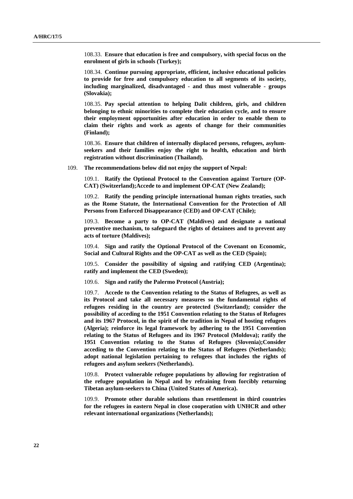108.33. **Ensure that education is free and compulsory, with special focus on the enrolment of girls in schools (Turkey);** 

108.34. **Continue pursuing appropriate, efficient, inclusive educational policies to provide for free and compulsory education to all segments of its society, including marginalized, disadvantaged - and thus most vulnerable - groups (Slovakia);** 

108.35. **Pay special attention to helping Dalit children, girls, and children belonging to ethnic minorities to complete their education cycle, and to ensure their employment opportunities after education in order to enable them to claim their rights and work as agents of change for their communities (Finland);** 

108.36. **Ensure that children of internally displaced persons, refugees, asylumseekers and their families enjoy the right to health, education and birth registration without discrimination (Thailand).** 

109. **The recommendations below did not enjoy the support of Nepal:** 

109.1. **Ratify the Optional Protocol to the Convention against Torture (OP-CAT) (Switzerland);Accede to and implement OP-CAT (New Zealand);** 

109.2. **Ratify the pending principle international human rights treaties, such as the Rome Statute, the International Convention for the Protection of All Persons from Enforced Disappearance (CED) and OP-CAT (Chile);** 

109.3. **Become a party to OP-CAT (Maldives) and designate a national preventive mechanism, to safeguard the rights of detainees and to prevent any acts of torture (Maldives);** 

109.4. **Sign and ratify the Optional Protocol of the Covenant on Economic, Social and Cultural Rights and the OP-CAT as well as the CED (Spain);** 

109.5. **Consider the possibility of signing and ratifying CED (Argentina); ratify and implement the CED (Sweden);** 

109.6. **Sign and ratify the Palermo Protocol (Austria);** 

109.7. **Accede to the Convention relating to the Status of Refugees, as well as its Protocol and take all necessary measures so the fundamental rights of refugees residing in the country are protected (Switzerland); consider the possibility of acceding to the 1951 Convention relating to the Status of Refugees and its 1967 Protocol, in the spirit of the tradition in Nepal of hosting refugees (Algeria); reinforce its legal framework by adhering to the 1951 Convention relating to the Status of Refugees and its 1967 Protocol (Moldova); ratify the 1951 Convention relating to the Status of Refugees (Slovenia);Consider acceding to the Convention relating to the Status of Refugees (Netherlands); adopt national legislation pertaining to refugees that includes the rights of refugees and asylum seekers (Netherlands).** 

109.8. **Protect vulnerable refugee populations by allowing for registration of the refugee population in Nepal and by refraining from forcibly returning Tibetan asylum-seekers to China (United States of America).** 

109.9. **Promote other durable solutions than resettlement in third countries for the refugees in eastern Nepal in close cooperation with UNHCR and other relevant international organizations (Netherlands);**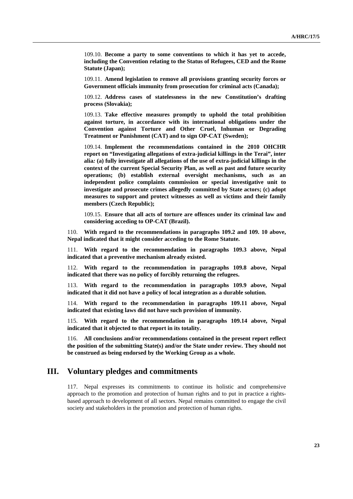109.10. **Become a party to some conventions to which it has yet to accede, including the Convention relating to the Status of Refugees, CED and the Rome Statute (Japan);** 

109.11. **Amend legislation to remove all provisions granting security forces or Government officials immunity from prosecution for criminal acts (Canada);** 

109.12. **Address cases of statelessness in the new Constitution's drafting process (Slovakia);** 

109.13. **Take effective measures promptly to uphold the total prohibition against torture, in accordance with its international obligations under the Convention against Torture and Other Cruel, Inhuman or Degrading Treatment or Punishment (CAT) and to sign OP-CAT (Sweden);** 

109.14. **Implement the recommendations contained in the 2010 OHCHR report on "Investigating allegations of extra-judicial killings in the Terai", inter alia***:* **(a) fully investigate all allegations of the use of extra-judicial killings in the context of the current Special Security Plan, as well as past and future security operations; (b) establish external oversight mechanisms, such as an independent police complaints commission or special investigative unit to investigate and prosecute crimes allegedly committed by State actors; (c) adopt measures to support and protect witnesses as well as victims and their family members (Czech Republic);** 

109.15. **Ensure that all acts of torture are offences under its criminal law and considering acceding to OP-CAT (Brazil).** 

110. **With regard to the recommendations in paragraphs 109.2 and 109. 10 above, Nepal indicated that it might consider acceding to the Rome Statute.** 

111. **With regard to the recommendation in paragraphs 109.3 above, Nepal indicated that a preventive mechanism already existed.** 

112. **With regard to the recommendation in paragraphs 109.8 above, Nepal indicated that there was no policy of forcibly returning the refugees.** 

113. **With regard to the recommendation in paragraphs 109.9 above, Nepal indicated that it did not have a policy of local integration as a durable solution.** 

114. **With regard to the recommendation in paragraphs 109.11 above, Nepal indicated that existing laws did not have such provision of immunity.** 

115. **With regard to the recommendation in paragraphs 109.14 above, Nepal indicated that it objected to that report in its totality.** 

116. **All conclusions and/or recommendations contained in the present report reflect the position of the submitting State(s) and/or the State under review. They should not be construed as being endorsed by the Working Group as a whole.** 

### **III. Voluntary pledges and commitments**

117. Nepal expresses its commitments to continue its holistic and comprehensive approach to the promotion and protection of human rights and to put in practice a rightsbased approach to development of all sectors. Nepal remains committed to engage the civil society and stakeholders in the promotion and protection of human rights.